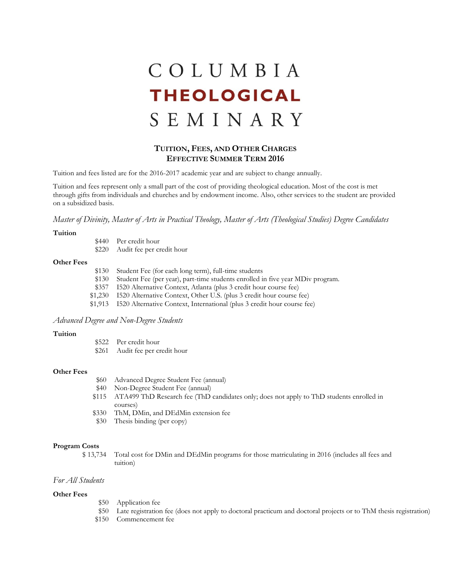# COLUMBIA **THEOLOGICAL** SEMINARY

# **TUITION, FEES, AND OTHER CHARGES EFFECTIVE SUMMER TERM 2016**

Tuition and fees listed are for the 2016-2017 academic year and are subject to change annually.

Tuition and fees represent only a small part of the cost of providing theological education. Most of the cost is met through gifts from individuals and churches and by endowment income. Also, other services to the student are provided on a subsidized basis.

*Master of Divinity, Master of Arts in Practical Theology, Master of Arts (Theological Studies) Degree Candidates*

#### **Tuition**

| \$440 | Per credit hour           |  |  |
|-------|---------------------------|--|--|
| \$220 | Audit fee per credit hour |  |  |

#### **Other Fees**

| \$130 | Student Fee (for each long term), full-time students                            |
|-------|---------------------------------------------------------------------------------|
| \$130 | Student Fee (per year), part-time students enrolled in five year MDiv program.  |
|       | \$357 I520 Alternative Context, Atlanta (plus 3 credit hour course fee)         |
|       | \$1,230 I520 Alternative Context, Other U.S. (plus 3 credit hour course fee)    |
|       | \$1,913 I520 Alternative Context, International (plus 3 credit hour course fee) |
|       |                                                                                 |

## *Advanced Degree and Non-Degree Students*

#### **Tuition**

\$522 Per credit hour \$261 Audit fee per credit hour

#### **Other Fees**

- \$60 Advanced Degree Student Fee (annual)
- \$40 Non-Degree Student Fee (annual)
- \$115 ATA499 ThD Research fee (ThD candidates only; does not apply to ThD students enrolled in courses)
- \$330 ThM, DMin, and DEdMin extension fee
- \$30 Thesis binding (per copy)

#### **Program Costs**

\$ 13,734 Total cost for DMin and DEdMin programs for those matriculating in 2016 (includes all fees and tuition)

# *For All Students*

#### **Other Fees**

- \$50 Application fee
- \$50 Late registration fee (does not apply to doctoral practicum and doctoral projects or to ThM thesis registration)
- \$150 Commencement fee